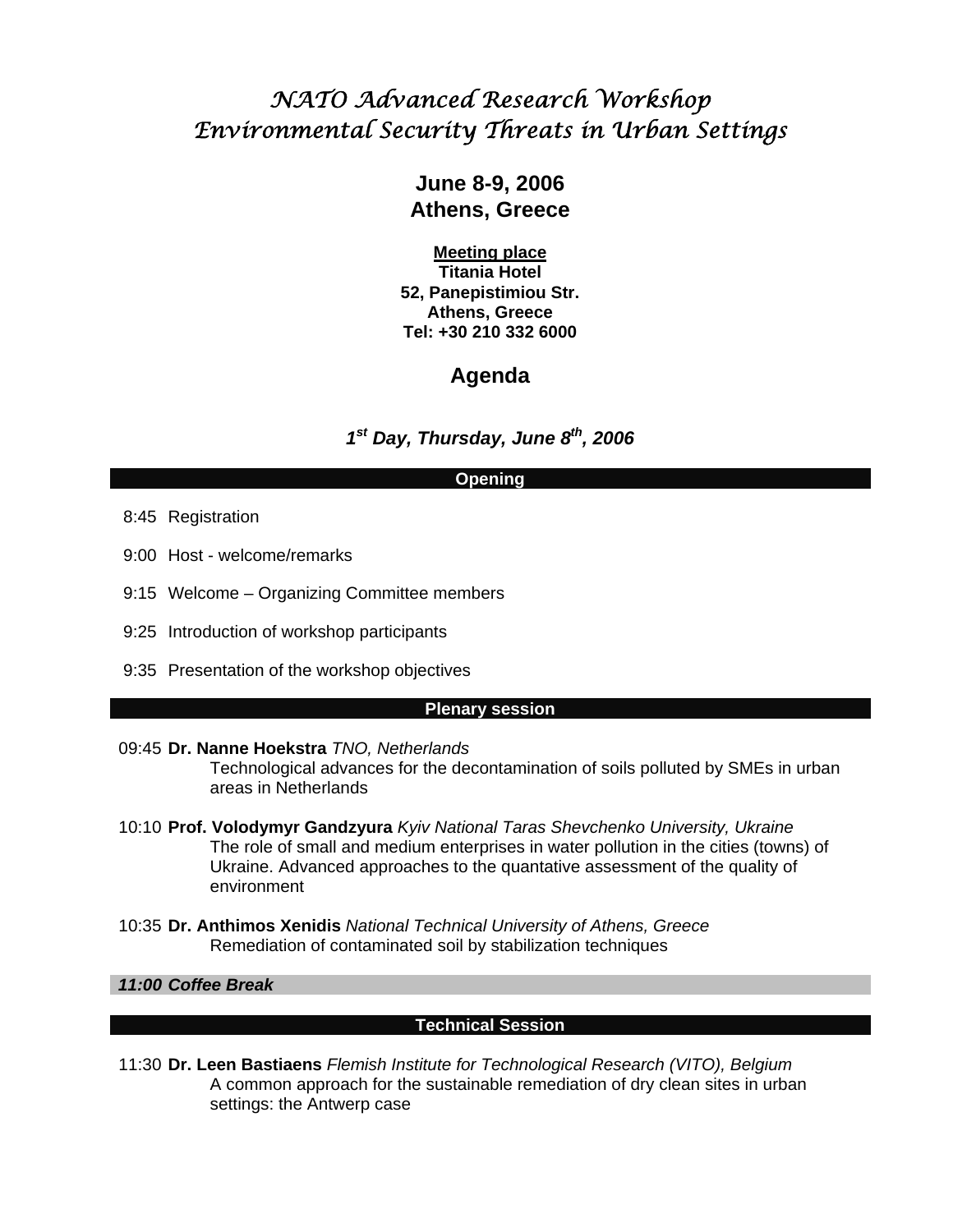# *NATO Advanced Research Workshop Environmental Security Threats in Urban Settings*

# **June 8-9, 2006 Athens, Greece**

**Meeting place Titania Hotel 52, Panepistimiou Str. Athens, Greece Tel: +30 210 332 6000** 

# **Agenda**

*1st Day, Thursday, June 8th, 2006*

## **Opening**

- 8:45 Registration
- 9:00 Host welcome/remarks
- 9:15 Welcome Organizing Committee members
- 9:25 Introduction of workshop participants
- 9:35 Presentation of the workshop objectives

#### **Plenary session**

#### 09:45 **Dr. Nanne Hoekstra** *TNO, Netherlands*

Technological advances for the decontamination of soils polluted by SMEs in urban areas in Netherlands

- 10:10 **Prof. Volodymyr Gandzyura** *Kyiv National Taras Shevchenko University, Ukraine*  The role of small and medium enterprises in water pollution in the cities (towns) of Ukraine. Advanced approaches to the quantative assessment of the quality of environment
- 10:35 **Dr. Anthimos Xenidis** *National Technical University of Athens, Greece*  Remediation of contaminated soil by stabilization techniques

## *11:00 Coffee Break*

## **Technical Session**

 11:30 **Dr. Leen Bastiaens** *Flemish Institute for Technological Research (VITO), Belgium*  A common approach for the sustainable remediation of dry clean sites in urban settings: the Antwerp case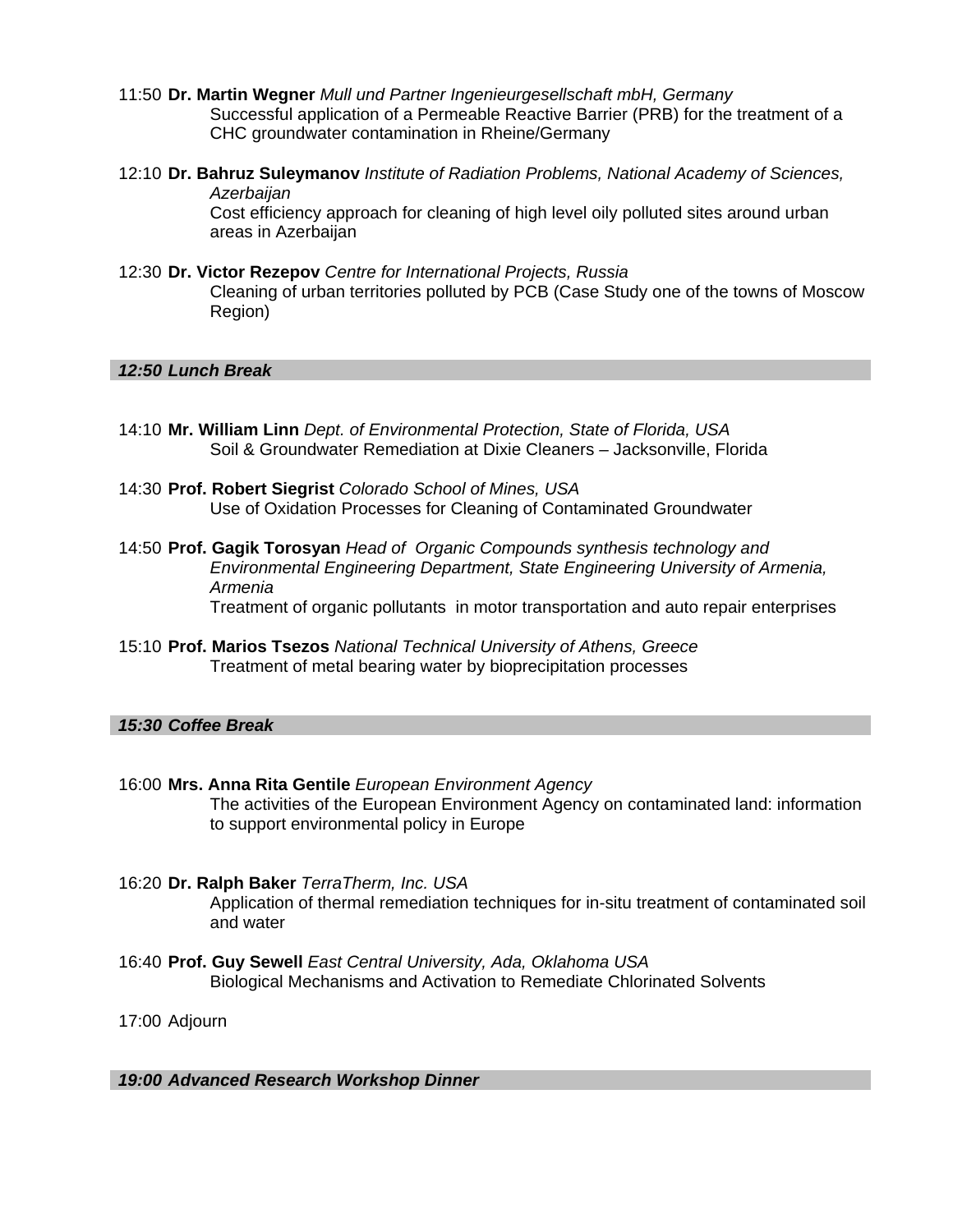- 11:50 **Dr. Martin Wegner** *Mull und Partner Ingenieurgesellschaft mbH, Germany*  Successful application of a Permeable Reactive Barrier (PRB) for the treatment of a CHC groundwater contamination in Rheine/Germany
- 12:10 **Dr. Bahruz Suleymanov** *Institute of Radiation Problems, National Academy of Sciences, Azerbaijan*  Cost efficiency approach for cleaning of high level oily polluted sites around urban areas in Azerbaijan
- 12:30 **Dr. Victor Rezepov** *Centre for International Projects, Russia*  Cleaning of urban territories polluted by PCB (Case Study one of the towns of Moscow Region)

#### *12:50 Lunch Break*

- 14:10 **Mr. William Linn** *Dept. of Environmental Protection, State of Florida, USA*  Soil & Groundwater Remediation at Dixie Cleaners – Jacksonville, Florida
- 14:30 **Prof. Robert Siegrist** *Colorado School of Mines, USA*  Use of Oxidation Processes for Cleaning of Contaminated Groundwater
- 14:50 **Prof. Gagik Torosyan** *Head of Organic Compounds synthesis technology and Environmental Engineering Department, State Engineering University of Armenia, Armenia*  Treatment of organic pollutants in motor transportation and auto repair enterprises
- 15:10 **Prof. Marios Tsezos** *National Technical University of Athens, Greece*  Treatment of metal bearing water by bioprecipitation processes

#### *15:30 Coffee Break*

- 16:00 **Mrs. Anna Rita Gentile** *European Environment Agency*  The activities of the European Environment Agency on contaminated land: information to support environmental policy in Europe
- 16:20 **Dr. Ralph Baker** *TerraTherm, Inc. USA*  Application of thermal remediation techniques for in-situ treatment of contaminated soil and water
- 16:40 **Prof. Guy Sewell** *East Central University, Ada, Oklahoma USA*  Biological Mechanisms and Activation to Remediate Chlorinated Solvents

17:00 Adjourn

 *19:00 Advanced Research Workshop Dinner*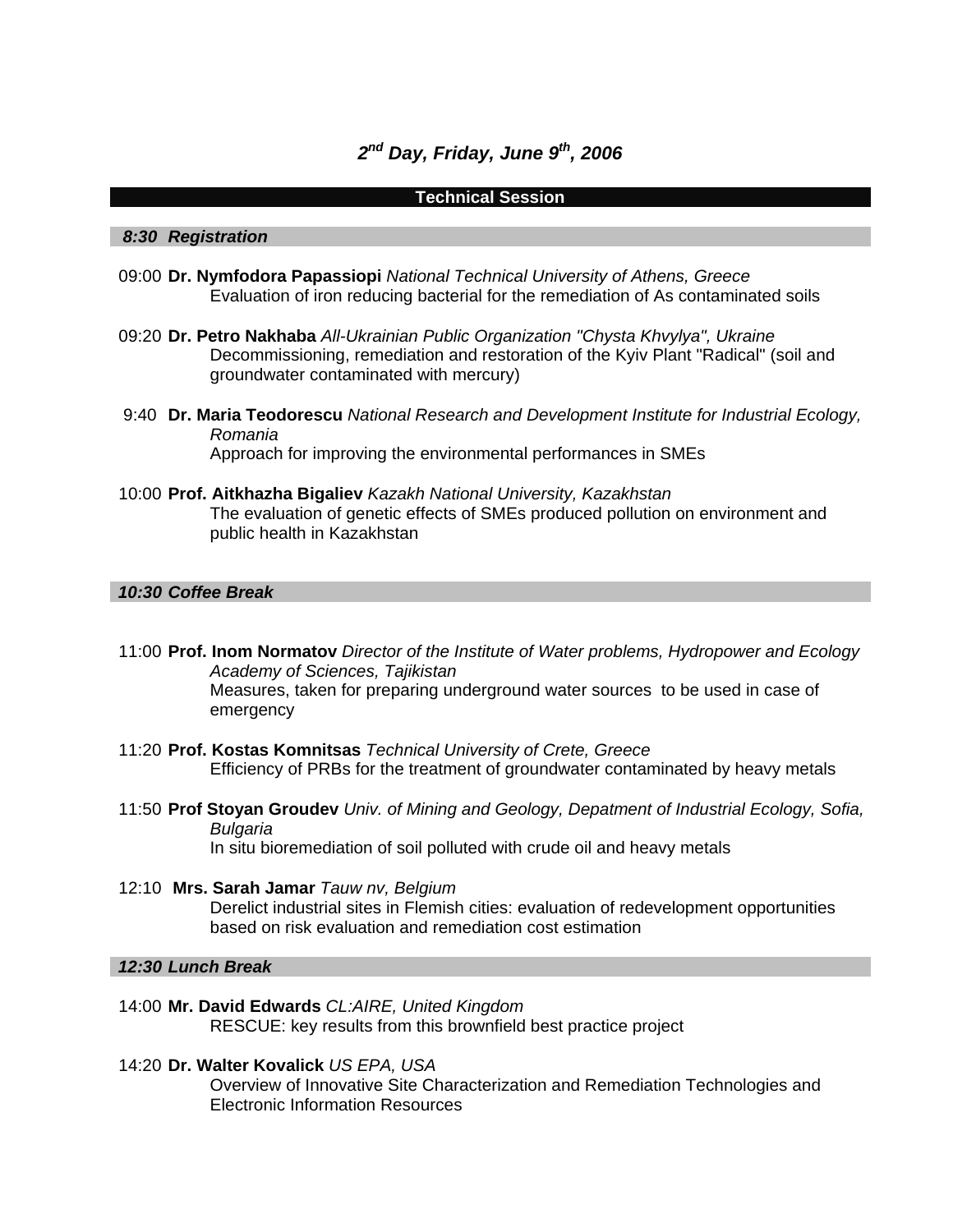# *2nd Day, Friday, June 9th, 2006*

#### **Technical Session**

#### *8:30 Registration*

- 09:00 **Dr. Nymfodora Papassiopi** *National Technical University of Athens, Greece*  Evaluation of iron reducing bacterial for the remediation of As contaminated soils
- 09:20 **Dr. Petro Nakhaba** *All-Ukrainian Public Organization "Chysta Khvylya", Ukraine*  Decommissioning, remediation and restoration of the Kyiv Plant "Radical" (soil and groundwater contaminated with mercury)
- 9:40 **Dr. Maria Teodorescu** *National Research and Development Institute for Industrial Ecology, Romania*  Approach for improving the environmental performances in SMEs
- 10:00 **Prof. Aitkhazha Bigaliev** *Kazakh National University, Kazakhstan*  The evaluation of genetic effects of SMEs produced pollution on environment and public health in Kazakhstan

#### *10:30 Coffee Break*

- 11:00 **Prof. Inom Normatov** *Director of the Institute of Water problems, Hydropower and Ecology Academy of Sciences, Tajikistan*  Measures, taken for preparing underground water sources to be used in case of emergency
- 11:20 **Prof. Kostas Komnitsas** *Technical University of Crete, Greece*  Efficiency of PRBs for the treatment of groundwater contaminated by heavy metals
- 11:50 **Prof Stoyan Groudev** *Univ. of Mining and Geology, Depatment of Industrial Ecology, Sofia, Bulgaria*  In situ bioremediation of soil polluted with crude oil and heavy metals
- 12:10 **Mrs. Sarah Jamar** *Tauw nv, Belgium*  Derelict industrial sites in Flemish cities: evaluation of redevelopment opportunities based on risk evaluation and remediation cost estimation

#### *12:30 Lunch Break*

- 14:00 **Mr. David Edwards** *CL:AIRE, United Kingdom*  RESCUE: key results from this brownfield best practice project
- 14:20 **Dr. Walter Kovalick** *US EPA, USA*  Overview of Innovative Site Characterization and Remediation Technologies and Electronic Information Resources